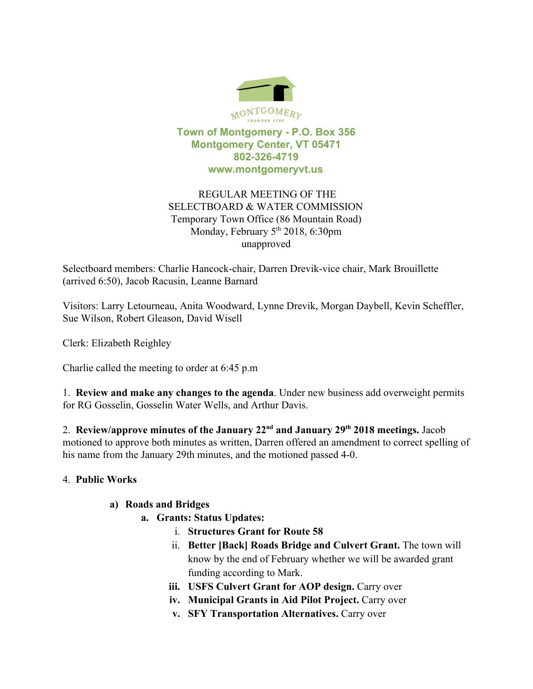

### **Town of Montgomery - P.O. Box 356 Montgomery Center, VT 05471 802-326-4719 www.montgomeryvt.us**

## REGULAR MEETING OF THE SELECTBOARD & WATER COMMISSION Temporary Town Office (86 Mountain Road) Monday, February 5<sup>th</sup> 2018, 6:30pm unapproved

Selectboard members: Charlie Hancock-chair, Darren Drevik-vice chair, Mark Brouillette (arrived 6:50), Jacob Racusin, Leanne Barnard

Visitors: Larry Letourneau, Anita Woodward, Lynne Drevik, Morgan Daybell, Kevin Scheffler, Sue Wilson, Robert Gleason, David Wisell

Clerk: Elizabeth Reighley

Charlie called the meeting to order at 6:45 p.m

1. **Review and make any changes to the agenda**. Under new business add overweight permits for RG Gosselin, Gosselin Water Wells, and Arthur Davis.

2. Review/approve minutes of the January 22<sup>nd</sup> and January 29<sup>th</sup> 2018 meetings. Jacob motioned to approve both minutes as written, Darren offered an amendment to correct spelling of his name from the January 29th minutes, and the motioned passed 4-0.

# 4. **Public Works**

#### **a) Roads and Bridges**

- **a. Grants: Status Updates:**
	- i. **Structures Grant for Route 58**
	- ii. **Better [Back] Roads Bridge and Culvert Grant.** The town will know by the end of February whether we will be awarded grant funding according to Mark.
	- **iii. USFS Culvert Grant for AOP design.** Carry over
	- **iv. Municipal Grants in Aid Pilot Project.** Carry over
	- **v. SFY Transportation Alternatives.** Carry over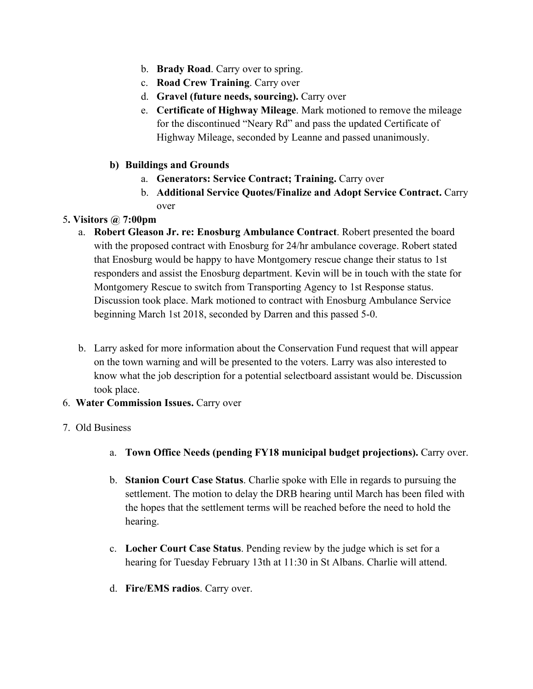- b. **Brady Road**. Carry over to spring.
- c. **Road Crew Training**. Carry over
- d. **Gravel (future needs, sourcing).** Carry over
- e. **Certificate of Highway Mileage**. Mark motioned to remove the mileage for the discontinued "Neary Rd" and pass the updated Certificate of Highway Mileage, seconded by Leanne and passed unanimously.
- **b) Buildings and Grounds**
	- a. **Generators: Service Contract; Training.** Carry over
	- b. **Additional Service Quotes/Finalize and Adopt Service Contract.** Carry over

## 5**. Visitors @ 7:00pm**

- a. **Robert Gleason Jr. re: Enosburg Ambulance Contract**. Robert presented the board with the proposed contract with Enosburg for 24/hr ambulance coverage. Robert stated that Enosburg would be happy to have Montgomery rescue change their status to 1st responders and assist the Enosburg department. Kevin will be in touch with the state for Montgomery Rescue to switch from Transporting Agency to 1st Response status. Discussion took place. Mark motioned to contract with Enosburg Ambulance Service beginning March 1st 2018, seconded by Darren and this passed 5-0.
- b. Larry asked for more information about the Conservation Fund request that will appear on the town warning and will be presented to the voters. Larry was also interested to know what the job description for a potential selectboard assistant would be. Discussion took place.
- 6. **Water Commission Issues.** Carry over

#### 7. Old Business

- a. **Town Office Needs (pending FY18 municipal budget projections).** Carry over.
- b. **Stanion Court Case Status**. Charlie spoke with Elle in regards to pursuing the settlement. The motion to delay the DRB hearing until March has been filed with the hopes that the settlement terms will be reached before the need to hold the hearing.
- c. **Locher Court Case Status**. Pending review by the judge which is set for a hearing for Tuesday February 13th at 11:30 in St Albans. Charlie will attend.
- d. **Fire/EMS radios**. Carry over.